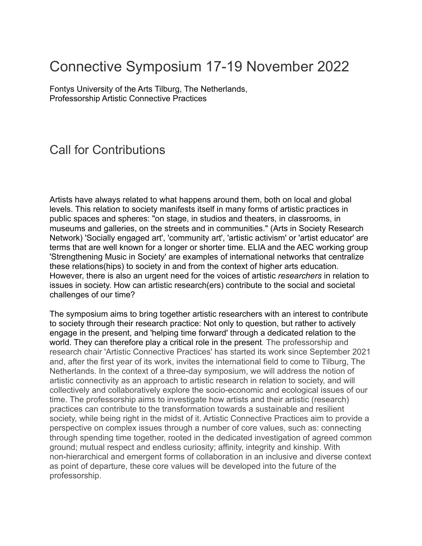## Connective Symposium 17-19 November 2022

Fontys University of the Arts Tilburg, The Netherlands, Professorship Artistic Connective Practices

## Call for Contributions

Artists have always related to what happens around them, both on local and global levels. This relation to society manifests itself in many forms of artistic practices in public spaces and spheres: "on stage, in studios and theaters, in classrooms, in museums and galleries, on the streets and in communities." (Arts in Society Research Network) 'Socially engaged art', 'community art', 'artistic activism' or 'artist educator' are terms that are well known for a longer or shorter time. ELIA and the AEC working group 'Strengthening Music in Society' are examples of international networks that centralize these relations(hips) to society in and from the context of higher arts education. However, there is also an urgent need for the voices of artistic *researchers* in relation to issues in society. How can artistic research(ers) contribute to the social and societal challenges of our time?

The symposium aims to bring together artistic researchers with an interest to contribute to society through their research practice: Not only to question, but rather to actively engage in the present, and 'helping time forward' through a dedicated relation to the world. They can therefore play a critical role in the present. The professorship and research chair 'Artistic Connective Practices' has started its work since September 2021 and, after the first year of its work, invites the international field to come to Tilburg, The Netherlands. In the context of a three-day symposium, we will address the notion of artistic connectivity as an approach to artistic research in relation to society, and will collectively and collaboratively explore the socio-economic and ecological issues of our time. The professorship aims to investigate how artists and their artistic (research) practices can contribute to the transformation towards a sustainable and resilient society, while being right in the midst of it. Artistic Connective Practices aim to provide a perspective on complex issues through a number of core values, such as: connecting through spending time together, rooted in the dedicated investigation of agreed common ground; mutual respect and endless curiosity; affinity, integrity and kinship. With non-hierarchical and emergent forms of collaboration in an inclusive and diverse context as point of departure, these core values will be developed into the future of the professorship.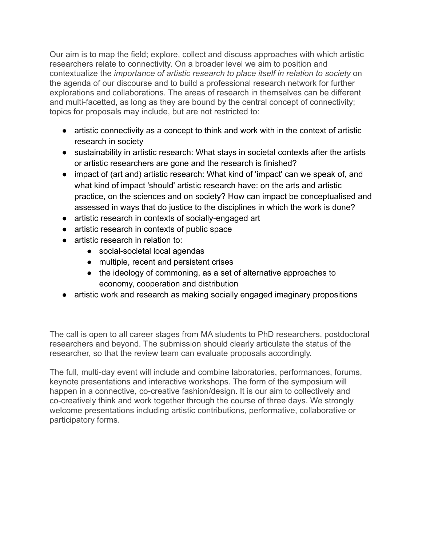Our aim is to map the field; explore, collect and discuss approaches with which artistic researchers relate to connectivity. On a broader level we aim to position and contextualize the *importance of artistic research to place itself in relation to society* on the agenda of our discourse and to build a professional research network for further explorations and collaborations. The areas of research in themselves can be different and multi-facetted, as long as they are bound by the central concept of connectivity; topics for proposals may include, but are not restricted to:

- artistic connectivity as a concept to think and work with in the context of artistic research in society
- sustainability in artistic research: What stays in societal contexts after the artists or artistic researchers are gone and the research is finished?
- impact of (art and) artistic research: What kind of 'impact' can we speak of, and what kind of impact 'should' artistic research have: on the arts and artistic practice, on the sciences and on society? How can impact be conceptualised and assessed in ways that do justice to the disciplines in which the work is done?
- artistic research in contexts of socially-engaged art
- artistic research in contexts of public space
- artistic research in relation to:
	- social-societal local agendas
	- multiple, recent and persistent crises
	- the ideology of commoning, as a set of alternative approaches to economy, cooperation and distribution
- artistic work and research as making socially engaged imaginary propositions

The call is open to all career stages from MA students to PhD researchers, postdoctoral researchers and beyond. The submission should clearly articulate the status of the researcher, so that the review team can evaluate proposals accordingly.

The full, multi-day event will include and combine laboratories, performances, forums, keynote presentations and interactive workshops. The form of the symposium will happen in a connective, co-creative fashion/design. It is our aim to collectively and co-creatively think and work together through the course of three days. We strongly welcome presentations including artistic contributions, performative, collaborative or participatory forms.